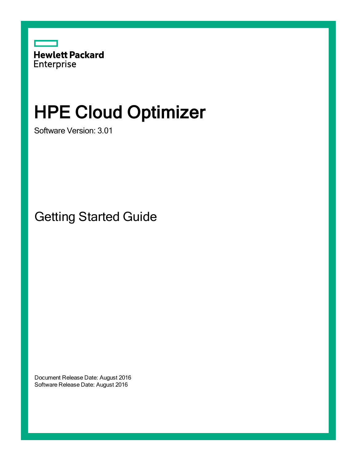

# HPE Cloud Optimizer

Software Version: 3.01

Getting Started Guide

Document Release Date: August 2016 Software Release Date: August 2016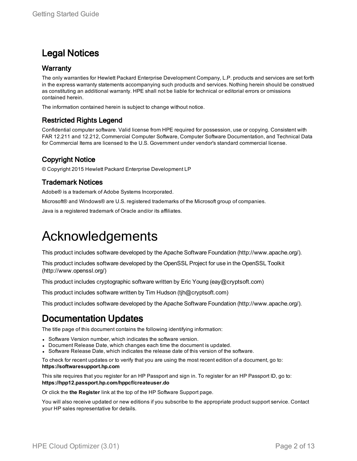### Legal Notices

#### **Warranty**

The only warranties for Hewlett Packard Enterprise Development Company, L.P. products and services are set forth in the express warranty statements accompanying such products and services. Nothing herein should be construed as constituting an additional warranty. HPE shall not be liable for technical or editorial errors or omissions contained herein.

The information contained herein is subject to change without notice.

#### Restricted Rights Legend

Confidential computer software. Valid license from HPE required for possession, use or copying. Consistent with FAR 12.211 and 12.212, Commercial Computer Software, Computer Software Documentation, and Technical Data for Commercial Items are licensed to the U.S. Government under vendor's standard commercial license.

#### Copyright Notice

© Copyright 2015 Hewlett Packard Enterprise Development LP

#### Trademark Notices

Adobe® is a trademark of Adobe Systems Incorporated.

Microsoft® and Windows® are U.S. registered trademarks of the Microsoft group of companies.

Java is a registered trademark of Oracle and/or its affiliates.

### Acknowledgements

This product includes software developed by the Apache Software Foundation (http://www.apache.org/).

This product includes software developed by the OpenSSL Project for use in the OpenSSL Toolkit (http://www.openssl.org/)

This product includes cryptographic software written by Eric Young (eay@cryptsoft.com)

This product includes software written by Tim Hudson (tjh@cryptsoft.com)

This product includes software developed by the Apache Software Foundation (http://www.apache.org/).

### Documentation Updates

The title page of this document contains the following identifying information:

- Software Version number, which indicates the software version.
- Document Release Date, which changes each time the document is updated.
- Software Release Date, which indicates the release date of this version of the software.

To check for recent updates or to verify that you are using the most recent edition of a document, go to: **https://softwaresupport.hp.com**

This site requires that you register for an HP Passport and sign in. To register for an HP Passport ID, go to: **https://hpp12.passport.hp.com/hppcf/createuser.do**

Or click the **the Register** link at the top of the HP Software Support page.

You will also receive updated or new editions if you subscribe to the appropriate product support service. Contact your HP sales representative for details.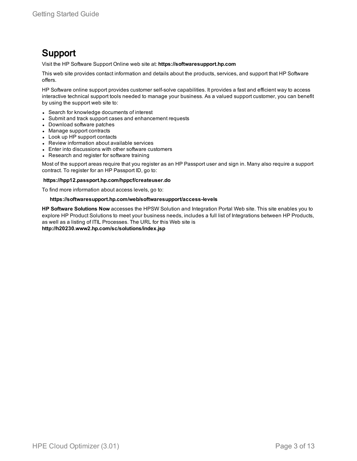### Support

Visit the HP Software Support Online web site at: **https://softwaresupport.hp.com**

This web site provides contact information and details about the products, services, and support that HP Software offers.

HP Software online support provides customer self-solve capabilities. It provides a fast and efficient way to access interactive technical support tools needed to manage your business. As a valued support customer, you can benefit by using the support web site to:

- Search for knowledge documents of interest
- Submit and track support cases and enhancement requests
- Download software patches
- Manage support contracts
- Look up HP support contacts
- Review information about available services
- Enter into discussions with other software customers
- Research and register for software training

Most of the support areas require that you register as an HP Passport user and sign in. Many also require a support contract. To register for an HP Passport ID, go to:

#### **https://hpp12.passport.hp.com/hppcf/createuser.do**

To find more information about access levels, go to:

#### **https://softwaresupport.hp.com/web/softwaresupport/access-levels**

**HP Software Solutions Now** accesses the HPSW Solution and Integration Portal Web site. This site enables you to explore HP Product Solutions to meet your business needs, includes a full list of Integrations between HP Products, as well as a listing of ITIL Processes. The URL for this Web site is **http://h20230.www2.hp.com/sc/solutions/index.jsp**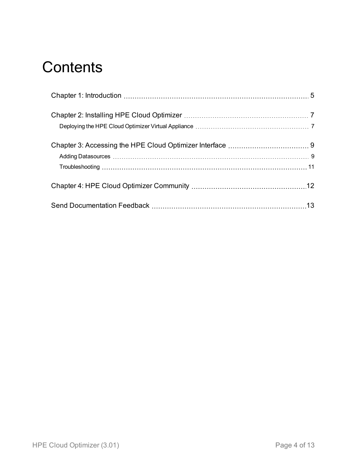## **Contents**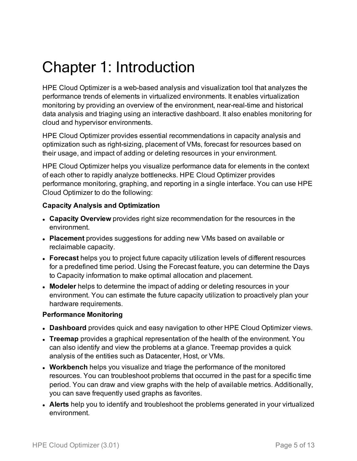# <span id="page-4-0"></span>Chapter 1: Introduction

HPE Cloud Optimizer is a web-based analysis and visualization tool that analyzes the performance trends of elements in virtualized environments. It enables virtualization monitoring by providing an overview of the environment, near-real-time and historical data analysis and triaging using an interactive dashboard. It also enables monitoring for cloud and hypervisor environments.

HPE Cloud Optimizer provides essential recommendations in capacity analysis and optimization such as right-sizing, placement of VMs, forecast for resources based on their usage, and impact of adding or deleting resources in your environment.

HPE Cloud Optimizer helps you visualize performance data for elements in the context of each other to rapidly analyze bottlenecks. HPE Cloud Optimizer provides performance monitoring, graphing, and reporting in a single interface. You can use HPE Cloud Optimizer to do the following:

#### **Capacity Analysis and Optimization**

- **Capacity Overview** provides right size recommendation for the resources in the environment.
- **Placement** provides suggestions for adding new VMs based on available or reclaimable capacity.
- <sup>l</sup> **Forecast** helps you to project future capacity utilization levels of different resources for a predefined time period. Using the Forecast feature, you can determine the Days to Capacity information to make optimal allocation and placement.
- **Modeler** helps to determine the impact of adding or deleting resources in your environment. You can estimate the future capacity utilization to proactively plan your hardware requirements.

#### **Performance Monitoring**

- **Dashboard** provides quick and easy navigation to other HPE Cloud Optimizer views.
- **Treemap** provides a graphical representation of the health of the environment. You can also identify and view the problems at a glance. Treemap provides a quick analysis of the entities such as Datacenter, Host, or VMs.
- **. Workbench** helps you visualize and triage the performance of the monitored resources. You can troubleshoot problems that occurred in the past for a specific time period. You can draw and view graphs with the help of available metrics. Additionally, you can save frequently used graphs as favorites.
- **Alerts** help you to identify and troubleshoot the problems generated in your virtualized environment.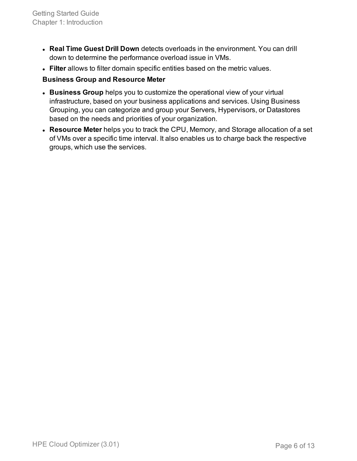- <sup>l</sup> **Real Time Guest Drill Down** detects overloads in the environment. You can drill down to determine the performance overload issue in VMs.
- **Filter** allows to filter domain specific entities based on the metric values.

#### **Business Group and Resource Meter**

- **Business Group** helps you to customize the operational view of your virtual infrastructure, based on your business applications and services. Using Business Grouping, you can categorize and group your Servers, Hypervisors, or Datastores based on the needs and priorities of your organization.
- **Resource Meter** helps you to track the CPU, Memory, and Storage allocation of a set of VMs over a specific time interval. It also enables us to charge back the respective groups, which use the services.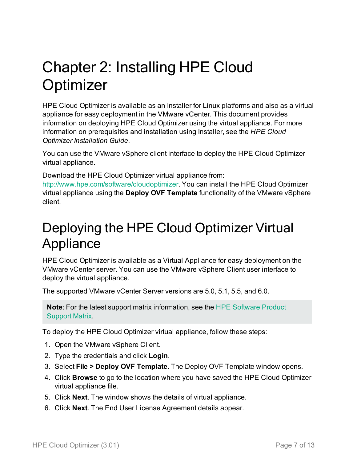# <span id="page-6-0"></span>Chapter 2: Installing HPE Cloud **Optimizer**

HPE Cloud Optimizer is available as an Installer for Linux platforms and also as a virtual appliance for easy deployment in the VMware vCenter. This document provides information on deploying HPE Cloud Optimizer using the virtual appliance. For more information on prerequisites and installation using Installer, see the *HPE Cloud Optimizer Installation Guide*.

You can use the VMware vSphere client interface to deploy the HPE Cloud Optimizer virtual appliance.

Download the HPE Cloud Optimizer virtual appliance from:

<http://www.hpe.com/software/cloudoptimizer>. You can install the HPE Cloud Optimizer virtual appliance using the **Deploy OVF Template** functionality of the VMware vSphere client.

### <span id="page-6-1"></span>Deploying the HPE Cloud Optimizer Virtual Appliance

HPE Cloud Optimizer is available as a Virtual Appliance for easy deployment on the VMware vCenter server. You can use the VMware vSphere Client user interface to deploy the virtual appliance.

The supported VMware vCenter Server versions are 5.0, 5.1, 5.5, and 6.0.

**Note**: For the latest support matrix information, see the HPE [Software](https://softwaresupport.hp.com/group/softwaresupport/search-result/-/facetsearch/document/KM323488) Product [Support](https://softwaresupport.hp.com/group/softwaresupport/search-result/-/facetsearch/document/KM323488) Matrix.

To deploy the HPE Cloud Optimizer virtual appliance, follow these steps:

- 1. Open the VMware vSphere Client.
- 2. Type the credentials and click **Login**.
- 3. Select **File > Deploy OVF Template**. The Deploy OVF Template window opens.
- 4. Click **Browse** to go to the location where you have saved the HPE Cloud Optimizer virtual appliance file.
- 5. Click **Next**. The window shows the details of virtual appliance.
- 6. Click **Next**. The End User License Agreement details appear.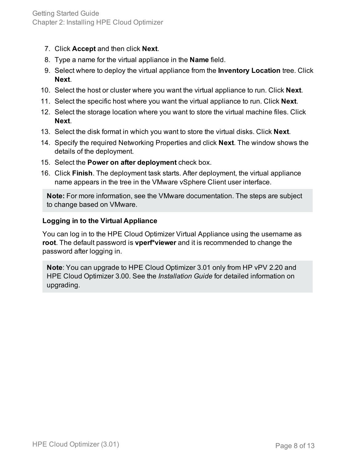- 7. Click **Accept** and then click **Next**.
- 8. Type a name for the virtual appliance in the **Name** field.
- 9. Select where to deploy the virtual appliance from the **Inventory Location** tree. Click **Next**.
- 10. Select the host or cluster where you want the virtual appliance to run. Click **Next**.
- 11. Select the specific host where you want the virtual appliance to run. Click **Next**.
- 12. Select the storage location where you want to store the virtual machine files. Click **Next**.
- 13. Select the disk format in which you want to store the virtual disks. Click **Next**.
- 14. Specify the required Networking Properties and click **Next**. The window shows the details of the deployment.
- 15. Select the **Power on after deployment** check box.
- 16. Click **Finish**. The deployment task starts. After deployment, the virtual appliance name appears in the tree in the VMware vSphere Client user interface.

**Note:** For more information, see the VMware documentation. The steps are subject to change based on VMware.

#### **Logging in to the Virtual Appliance**

You can log in to the HPE Cloud Optimizer Virtual Appliance using the username as **root**. The default password is **vperf\*viewer** and it is recommended to change the password after logging in.

**Note**: You can upgrade to HPE Cloud Optimizer 3.01 only from HP vPV 2.20 and HPE Cloud Optimizer 3.00. See the *Installation Guide* for detailed information on upgrading.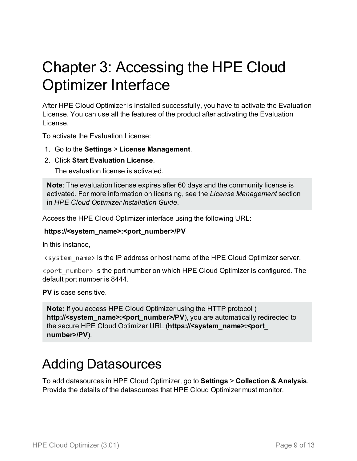# <span id="page-8-0"></span>Chapter 3: Accessing the HPE Cloud Optimizer Interface

After HPE Cloud Optimizer is installed successfully, you have to activate the Evaluation License. You can use all the features of the product after activating the Evaluation License.

To activate the Evaluation License:

- 1. Go to the **Settings** > **License Management**.
- 2. Click **Start Evaluation License**.

The evaluation license is activated.

**Note**: The evaluation license expires after 60 days and the community license is activated. For more information on licensing, see the *License Management* section in *HPE Cloud Optimizer Installation Guide*.

Access the HPE Cloud Optimizer interface using the following URL:

#### **https://<system\_name>:<port\_number>/PV**

In this instance,

<system\_name> is the IP address or host name of the HPE Cloud Optimizer server.

<port\_number> is the port number on which HPE Cloud Optimizer is configured. The default port number is 8444.

**PV** is case sensitive.

**Note:** If you access HPE Cloud Optimizer using the HTTP protocol ( http://<system\_name>:<port\_number>/PV), you are automatically redirected to the secure HPE Cloud Optimizer URL (**https://<system\_name>:<port\_ number>/PV**).

### <span id="page-8-1"></span>Adding Datasources

To add datasources in HPE Cloud Optimizer, go to **Settings** > **Collection & Analysis**. Provide the details of the datasources that HPE Cloud Optimizer must monitor.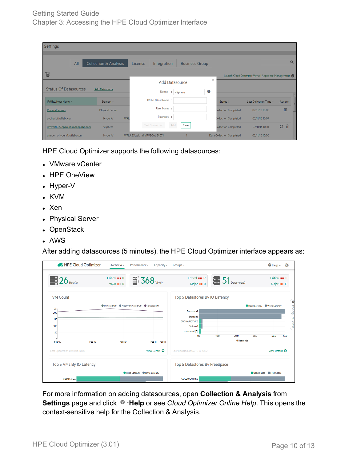| Settings                          |     |                                  |             |                             |                                   |     |                       |           |                                  |                                                       |                |   |   |
|-----------------------------------|-----|----------------------------------|-------------|-----------------------------|-----------------------------------|-----|-----------------------|-----------|----------------------------------|-------------------------------------------------------|----------------|---|---|
|                                   |     |                                  |             |                             |                                   |     |                       |           |                                  |                                                       |                |   |   |
|                                   | All | <b>Collection &amp; Analysis</b> |             | License                     | Integration                       |     | <b>Business Group</b> |           |                                  |                                                       |                |   | Q |
| 眉                                 |     |                                  |             |                             |                                   |     |                       |           |                                  | Launch Cloud Optimizer Virtual Appliance Management ( |                |   |   |
|                                   |     |                                  |             |                             | $\times$<br><b>Add Datasource</b> |     |                       |           |                                  |                                                       |                |   |   |
| <b>Status Of Datasources</b>      |     | <b>Add Datasource</b>            |             |                             | Domain:                           |     | vSphere               | $\bullet$ |                                  |                                                       |                |   |   |
| IP/URL/Host Name ▼                |     | Domain $\Leftrightarrow$         |             |                             | IP/URL/Host Name:                 |     |                       |           | Status $\Leftrightarrow$         | Last Collection Time $\hat{z}$                        | <b>Actions</b> |   | E |
| PhysicalServers                   |     | <b>Physical Server</b>           |             |                             | User Name:                        |     |                       |           | <b>Collection Completed</b>      | 02/11/16 10:06                                        |                | 而 |   |
| ovchariot.iwflabs.com             |     | Hyper-V                          | <b>IWFL</b> |                             | Password:                         |     |                       |           | <b>Collection Completed</b>      | 02/11/16 10:07                                        |                |   |   |
| iwfvm01029.hpswlabs.adapps.hp.com |     | vSphere                          |             |                             | <b>Test Connection</b>            | Add | Clear                 |           | Collection Completed             | 02/11/16 10:10                                        | の血             |   |   |
| gringotts-hyperv1.iwflabs.com     |     | Hyper-V                          |             | IWFLABS\sakthi#VPVSCALE4071 |                                   |     |                       |           | <b>Data Collection Completed</b> | 02/11/16 10:06                                        |                |   | ۰ |

HPE Cloud Optimizer supports the following datasources:

- VMware vCenter
- HPE OneView
- $\bullet$  Hyper-V
- <sup>l</sup> KVM
- Xen
- Physical Server
- OpenStack
- <sup>l</sup> AWS

After adding datasources (5 minutes), the HPE Cloud Optimizer interface appears as:

| HPE Cloud Optimizer            | Overview $\star$                                | Performance -              | $Capacity*$               | $Groups -$                                 |      |                            |      | $\Theta$ Help $\sim$                    | ۰         |
|--------------------------------|-------------------------------------------------|----------------------------|---------------------------|--------------------------------------------|------|----------------------------|------|-----------------------------------------|-----------|
| 一<br>$26$ Host(s)              | Critical <b>IIII</b> O<br>Major IIII 0          | $\overline{5}$ 368         |                           | Critical <b>IIII</b> 17<br>Major IIII 0    |      | $51_{\text{Datastore(s)}}$ |      | Critical <b>IIII</b> O<br>Major IIII 15 |           |
| <b>VM Count</b>                |                                                 |                            |                           | Top 5 Datastores By IO Latency             |      |                            |      |                                         | ۰         |
| 231<br>200                     | ● Powered Off ● Mostly Powered Off ● Powered On |                            |                           | Datastore2<br>Storage <sub>2</sub>         |      |                            |      | Read Latency Write Latency              | Configure |
| 150<br>100<br>50               |                                                 |                            |                           | OVCHARIOT (C:)<br>Volume1<br>datastore1(5) |      |                            |      |                                         | View      |
| 0<br>Feb 09<br>Feb 10          | Feb 10                                          |                            | Feb 11 Feb 11             | 0.0                                        | 10.0 | 20.0<br>Milliseconds       | 30.0 | 40.0                                    | 46.0      |
| Last updated at 02/11/16 10:02 |                                                 |                            | View Details <sup>O</sup> | Last updated at 02/11/16 10:02             |      |                            |      | View Details <sup>O</sup>               |           |
| Top 5 VMs By IO Latency        |                                                 |                            |                           | Top 5 Datastores By FreeSpace              |      |                            |      |                                         |           |
| Cluster GD                     |                                                 | Read Latency Write Latency |                           | <b>GOLDRICH5 (E:)</b>                      |      |                            |      | <b>O</b> Used Space <b>C</b> Free Space |           |

For more information on adding datasources, open **Collection & Analysis** from **Settings** page and click <sup>o</sup> Help or see *Cloud Optimizer Online Help*. This opens the context-sensitive help for the Collection & Analysis.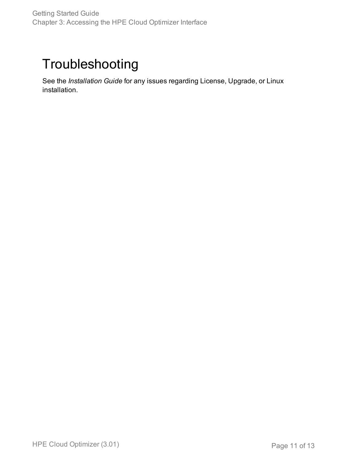### <span id="page-10-0"></span>Troubleshooting

See the *Installation Guide* for any issues regarding License, Upgrade, or Linux installation.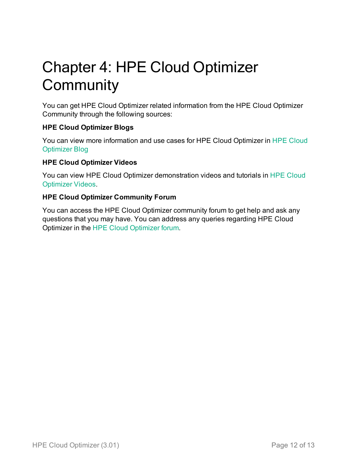# <span id="page-11-0"></span>Chapter 4: HPE Cloud Optimizer **Community**

You can get HPE Cloud Optimizer related information from the HPE Cloud Optimizer Community through the following sources:

#### **HPE Cloud Optimizer Blogs**

You can view more information and use cases for HPE Cloud Optimizer in HPE [Cloud](http://community.hpe.com/t5/forums/tagdetailpage/tag-cloud-grouping/message/tag-cloud-style/recent/message-scope/all/user-scope/all/tag-scope/single/tag-id/63642/timerange/all/tag-visibility-scope/public) [Optimizer](http://community.hpe.com/t5/forums/tagdetailpage/tag-cloud-grouping/message/tag-cloud-style/recent/message-scope/all/user-scope/all/tag-scope/single/tag-id/63642/timerange/all/tag-visibility-scope/public) Blog

#### **HPE Cloud Optimizer Videos**

You can view HPE Cloud Optimizer demonstration videos and tutorials in HPE [Cloud](http://www.youtube.com/playlist?list=PLtS6YX0YOX4fsM5fnJcUfDF9R9bJRaZW5) [Optimizer Videos](http://www.youtube.com/playlist?list=PLtS6YX0YOX4fsM5fnJcUfDF9R9bJRaZW5).

#### **HPE Cloud Optimizer Community Forum**

You can access the HPE Cloud Optimizer community forum to get help and ask any questions that you may have. You can address any queries regarding HPE Cloud Optimizer in the HPE Cloud [Optimizer](http://h30499.www3.hp.com/t5/HP-Virtualization-Performance/bd-p/hp-virtualization-performance-viewer-vpv) forum.